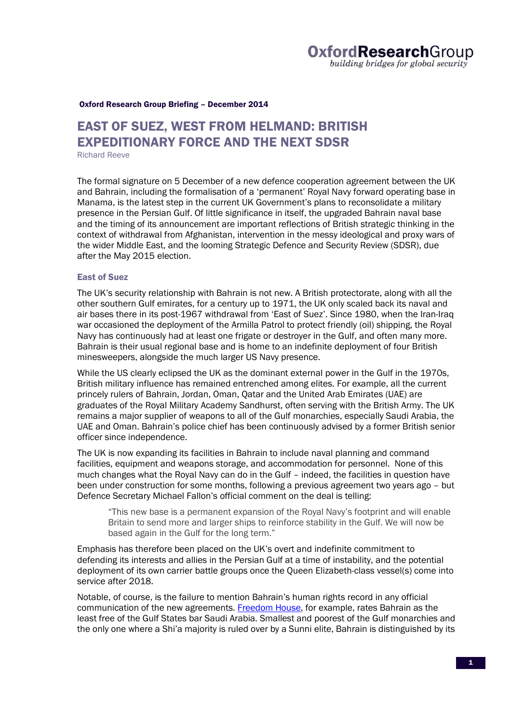#### Oxford Research Group Briefing – December 2014

# EAST OF SUEZ, WEST FROM HELMAND: BRITISH EXPEDITIONARY FORCE AND THE NEXT SDSR

Richard Reeve

The formal signature on 5 December of a new defence cooperation agreement between the UK and Bahrain, including the formalisation of a 'permanent' Royal Navy forward operating base in Manama, is the latest step in the current UK Government's plans to reconsolidate a military presence in the Persian Gulf. Of little significance in itself, the upgraded Bahrain naval base and the timing of its announcement are important reflections of British strategic thinking in the context of withdrawal from Afghanistan, intervention in the messy ideological and proxy wars of the wider Middle East, and the looming Strategic Defence and Security Review (SDSR), due after the May 2015 election.

## East of Suez

The UK's security relationship with Bahrain is not new. A British protectorate, along with all the other southern Gulf emirates, for a century up to 1971, the UK only scaled back its naval and air bases there in its post-1967 withdrawal from 'East of Suez'. Since 1980, when the Iran-Iraq war occasioned the deployment of the Armilla Patrol to protect friendly (oil) shipping, the Royal Navy has continuously had at least one frigate or destroyer in the Gulf, and often many more. Bahrain is their usual regional base and is home to an indefinite deployment of four British minesweepers, alongside the much larger US Navy presence.

While the US clearly eclipsed the UK as the dominant external power in the Gulf in the 1970s, British military influence has remained entrenched among elites. For example, all the current princely rulers of Bahrain, Jordan, Oman, Qatar and the United Arab Emirates (UAE) are graduates of the Royal Military Academy Sandhurst, often serving with the British Army. The UK remains a major supplier of weapons to all of the Gulf monarchies, especially Saudi Arabia, the UAE and Oman. Bahrain's police chief has been continuously advised by a former British senior officer since independence.

The UK is now expanding its facilities in Bahrain to include naval planning and command facilities, equipment and weapons storage, and accommodation for personnel. None of this much changes what the Royal Navy can do in the Gulf – indeed, the facilities in question have been under construction for some months, following a previous agreement two years ago – but Defence Secretary Michael Fallon's official comment on the deal is telling:

"This new base is a permanent expansion of the Royal Navy's footprint and will enable Britain to send more and larger ships to reinforce stability in the Gulf. We will now be based again in the Gulf for the long term."

Emphasis has therefore been placed on the UK's overt and indefinite commitment to defending its interests and allies in the Persian Gulf at a time of instability, and the potential deployment of its own carrier battle groups once the Queen Elizabeth-class vessel(s) come into service after 2018.

Notable, of course, is the failure to mention Bahrain's human rights record in any official communication of the new agreements. Freedom House, for example, rates Bahrain as the least free of the Gulf States bar Saudi Arabia. Smallest and poorest of the Gulf monarchies and the only one where a Shi'a majority is ruled over by a Sunni elite, Bahrain is distinguished by its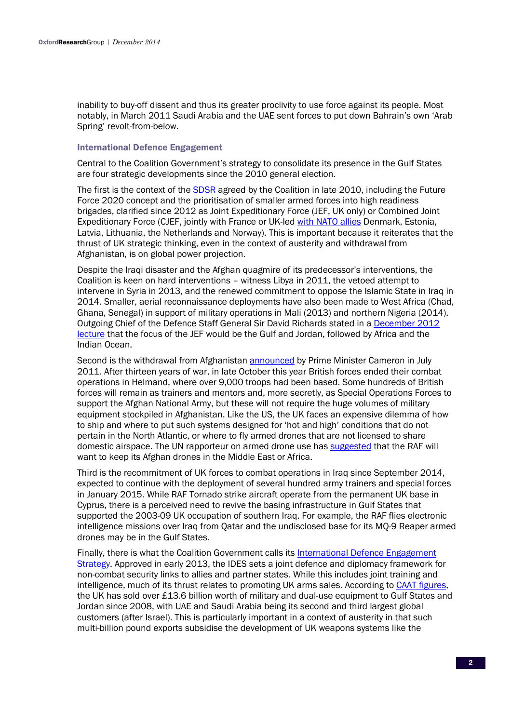inability to buy-off dissent and thus its greater proclivity to use force against its people. Most notably, in March 2011 Saudi Arabia and the UAE sent forces to put down Bahrain's own 'Arab Spring' revolt-from-below.

## International Defence Engagement

Central to the Coalition Government's strategy to consolidate its presence in the Gulf States are four strategic developments since the 2010 general election.

The first is the context of the SDSR agreed by the Coalition in late 2010, including the Future Force 2020 concept and the prioritisation of smaller armed forces into high readiness brigades, clarified since 2012 as Joint Expeditionary Force (JEF, UK only) or Combined Joint Expeditionary Force (CJEF, jointly with France or UK-led with NATO allies Denmark, Estonia, Latvia, Lithuania, the Netherlands and Norway). This is important because it reiterates that the thrust of UK strategic thinking, even in the context of austerity and withdrawal from Afghanistan, is on global power projection.

Despite the Iraqi disaster and the Afghan quagmire of its predecessor's interventions, the Coalition is keen on hard interventions – witness Libya in 2011, the vetoed attempt to intervene in Syria in 2013, and the renewed commitment to oppose the Islamic State in Iraq in 2014. Smaller, aerial reconnaissance deployments have also been made to West Africa (Chad, Ghana, Senegal) in support of military operations in Mali (2013) and northern Nigeria (2014). Outgoing Chief of the Defence Staff General Sir David Richards stated in a December 2012 lecture that the focus of the JEF would be the Gulf and Jordan, followed by Africa and the Indian Ocean.

Second is the withdrawal from Afghanistan **announced** by Prime Minister Cameron in July 2011. After thirteen years of war, in late October this year British forces ended their combat operations in Helmand, where over 9,000 troops had been based. Some hundreds of British forces will remain as trainers and mentors and, more secretly, as Special Operations Forces to support the Afghan National Army, but these will not require the huge volumes of military equipment stockpiled in Afghanistan. Like the US, the UK faces an expensive dilemma of how to ship and where to put such systems designed for 'hot and high' conditions that do not pertain in the North Atlantic, or where to fly armed drones that are not licensed to share domestic airspace. The UN rapporteur on armed drone use has suggested that the RAF will want to keep its Afghan drones in the Middle East or Africa.

Third is the recommitment of UK forces to combat operations in Iraq since September 2014, expected to continue with the deployment of several hundred army trainers and special forces in January 2015. While RAF Tornado strike aircraft operate from the permanent UK base in Cyprus, there is a perceived need to revive the basing infrastructure in Gulf States that supported the 2003-09 UK occupation of southern Iraq. For example, the RAF flies electronic intelligence missions over Iraq from Qatar and the undisclosed base for its MQ-9 Reaper armed drones may be in the Gulf States.

Finally, there is what the Coalition Government calls its International Defence Engagement Strategy. Approved in early 2013, the IDES sets a joint defence and diplomacy framework for non-combat security links to allies and partner states. While this includes joint training and intelligence, much of its thrust relates to promoting UK arms sales. According to CAAT figures, the UK has sold over £13.6 billion worth of military and dual-use equipment to Gulf States and Jordan since 2008, with UAE and Saudi Arabia being its second and third largest global customers (after Israel). This is particularly important in a context of austerity in that such multi-billion pound exports subsidise the development of UK weapons systems like the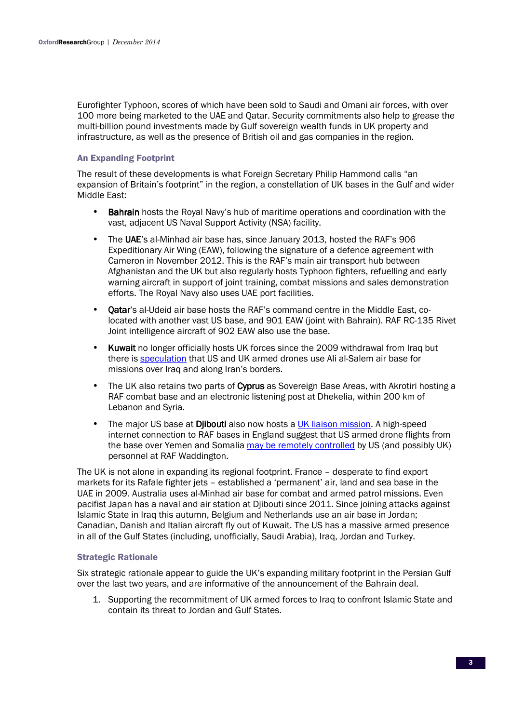Eurofighter Typhoon, scores of which have been sold to Saudi and Omani air forces, with over 100 more being marketed to the UAE and Qatar. Security commitments also help to grease the multi-billion pound investments made by Gulf sovereign wealth funds in UK property and infrastructure, as well as the presence of British oil and gas companies in the region.

# An Expanding Footprint

The result of these developments is what Foreign Secretary Philip Hammond calls "an expansion of Britain's footprint" in the region, a constellation of UK bases in the Gulf and wider Middle East:

- **Bahrain** hosts the Royal Navy's hub of maritime operations and coordination with the vast, adjacent US Naval Support Activity (NSA) facility.
- The UAE's al-Minhad air base has, since January 2013, hosted the RAF's 906 Expeditionary Air Wing (EAW), following the signature of a defence agreement with Cameron in November 2012. This is the RAF's main air transport hub between Afghanistan and the UK but also regularly hosts Typhoon fighters, refuelling and early warning aircraft in support of joint training, combat missions and sales demonstration efforts. The Royal Navy also uses UAE port facilities.
- **Oatar's al-Udeid air base hosts the RAF's command centre in the Middle East, co**located with another vast US base, and 901 EAW (joint with Bahrain). RAF RC-135 Rivet Joint intelligence aircraft of 902 EAW also use the base.
- **Kuwait** no longer officially hosts UK forces since the 2009 withdrawal from Iraq but there is speculation that US and UK armed drones use Ali al-Salem air base for missions over Iraq and along Iran's borders.
- The UK also retains two parts of Cyprus as Sovereign Base Areas, with Akrotiri hosting a RAF combat base and an electronic listening post at Dhekelia, within 200 km of Lebanon and Syria.
- The major US base at **Djibouti** also now hosts a UK liaison mission. A high-speed internet connection to RAF bases in England suggest that US armed drone flights from the base over Yemen and Somalia may be remotely controlled by US (and possibly UK) personnel at RAF Waddington.

The UK is not alone in expanding its regional footprint. France – desperate to find export markets for its Rafale fighter jets – established a 'permanent' air, land and sea base in the UAE in 2009. Australia uses al-Minhad air base for combat and armed patrol missions. Even pacifist Japan has a naval and air station at Djibouti since 2011. Since joining attacks against Islamic State in Iraq this autumn, Belgium and Netherlands use an air base in Jordan; Canadian, Danish and Italian aircraft fly out of Kuwait. The US has a massive armed presence in all of the Gulf States (including, unofficially, Saudi Arabia), Iraq, Jordan and Turkey.

## Strategic Rationale

Six strategic rationale appear to guide the UK's expanding military footprint in the Persian Gulf over the last two years, and are informative of the announcement of the Bahrain deal.

1. Supporting the recommitment of UK armed forces to Iraq to confront Islamic State and contain its threat to Jordan and Gulf States.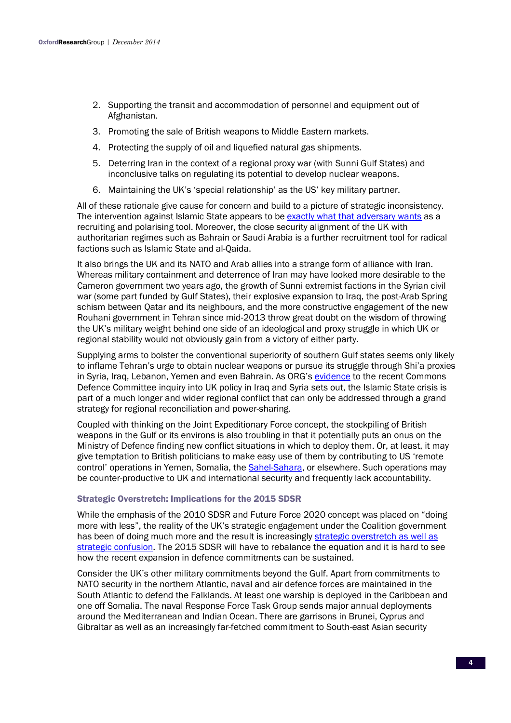- 2. Supporting the transit and accommodation of personnel and equipment out of Afghanistan.
- 3. Promoting the sale of British weapons to Middle Eastern markets.
- 4. Protecting the supply of oil and liquefied natural gas shipments.
- 5. Deterring Iran in the context of a regional proxy war (with Sunni Gulf States) and inconclusive talks on regulating its potential to develop nuclear weapons.
- 6. Maintaining the UK's 'special relationship' as the US' key military partner.

All of these rationale give cause for concern and build to a picture of strategic inconsistency. The intervention against Islamic State appears to be exactly what that adversary wants as a recruiting and polarising tool. Moreover, the close security alignment of the UK with authoritarian regimes such as Bahrain or Saudi Arabia is a further recruitment tool for radical factions such as Islamic State and al-Qaida.

It also brings the UK and its NATO and Arab allies into a strange form of alliance with Iran. Whereas military containment and deterrence of Iran may have looked more desirable to the Cameron government two years ago, the growth of Sunni extremist factions in the Syrian civil war (some part funded by Gulf States), their explosive expansion to Iraq, the post-Arab Spring schism between Qatar and its neighbours, and the more constructive engagement of the new Rouhani government in Tehran since mid-2013 throw great doubt on the wisdom of throwing the UK's military weight behind one side of an ideological and proxy struggle in which UK or regional stability would not obviously gain from a victory of either party.

Supplying arms to bolster the conventional superiority of southern Gulf states seems only likely to inflame Tehran's urge to obtain nuclear weapons or pursue its struggle through Shi'a proxies in Syria, Iraq, Lebanon, Yemen and even Bahrain. As ORG's evidence to the recent Commons Defence Committee inquiry into UK policy in Iraq and Syria sets out, the Islamic State crisis is part of a much longer and wider regional conflict that can only be addressed through a grand strategy for regional reconciliation and power-sharing.

Coupled with thinking on the Joint Expeditionary Force concept, the stockpiling of British weapons in the Gulf or its environs is also troubling in that it potentially puts an onus on the Ministry of Defence finding new conflict situations in which to deploy them. Or, at least, it may give temptation to British politicians to make easy use of them by contributing to US 'remote control' operations in Yemen, Somalia, the Sahel-Sahara, or elsewhere. Such operations may be counter-productive to UK and international security and frequently lack accountability.

### Strategic Overstretch: Implications for the 2015 SDSR

While the emphasis of the 2010 SDSR and Future Force 2020 concept was placed on "doing more with less", the reality of the UK's strategic engagement under the Coalition government has been of doing much more and the result is increasingly strategic overstretch as well as strategic confusion. The 2015 SDSR will have to rebalance the equation and it is hard to see how the recent expansion in defence commitments can be sustained.

Consider the UK's other military commitments beyond the Gulf. Apart from commitments to NATO security in the northern Atlantic, naval and air defence forces are maintained in the South Atlantic to defend the Falklands. At least one warship is deployed in the Caribbean and one off Somalia. The naval Response Force Task Group sends major annual deployments around the Mediterranean and Indian Ocean. There are garrisons in Brunei, Cyprus and Gibraltar as well as an increasingly far-fetched commitment to South-east Asian security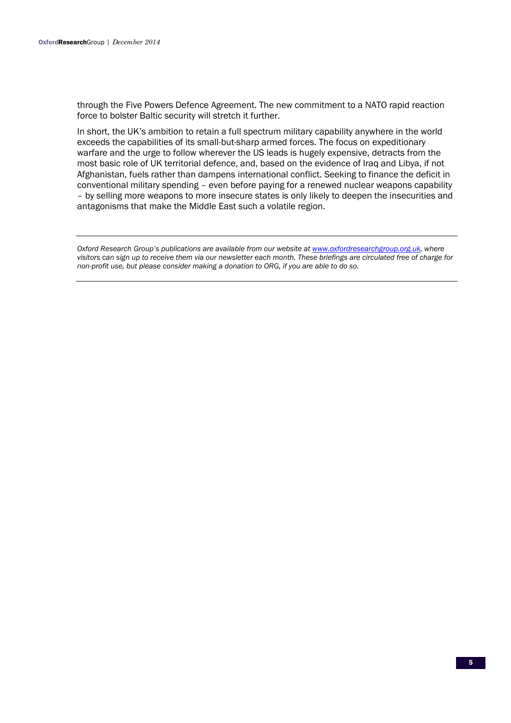through the Five Powers Defence Agreement. The new commitment to a NATO rapid reaction force to bolster Baltic security will stretch it further.

In short, the UK's ambition to retain a full spectrum military capability anywhere in the world exceeds the capabilities of its small-but-sharp armed forces. The focus on expeditionary warfare and the urge to follow wherever the US leads is hugely expensive, detracts from the most basic role of UK territorial defence, and, based on the evidence of Iraq and Libya, if not Afghanistan, fuels rather than dampens international conflict. Seeking to finance the deficit in conventional military spending – even before paying for a renewed nuclear weapons capability – by selling more weapons to more insecure states is only likely to deepen the insecurities and antagonisms that make the Middle East such a volatile region.

*Oxford Research Group's publications are available from our website at www.oxfordresearchgroup.org.uk, where visitors can sign up to receive them via our newsletter each month. These briefings are circulated free of charge for non-profit use, but please consider making a donation to ORG, if you are able to do so.*